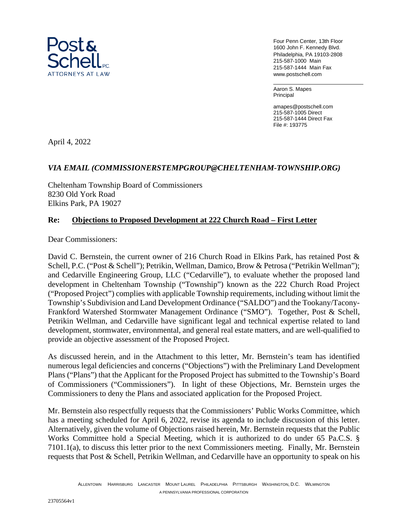

Four Penn Center, 13th Floor 1600 John F. Kennedy Blvd. Philadelphia, PA 19103-2808 215-587-1000 Main 215-587-1444 Main Fax www.postschell.com

Aaron S. Mapes Principal

amapes@postschell.com 215-587-1005 Direct 215-587-1444 Direct Fax File #: 193775

April 4, 2022

# *VIA EMAIL (COMMISSIONERSTEMPGROUP@CHELTENHAM-TOWNSHIP.ORG)*

Cheltenham Township Board of Commissioners 8230 Old York Road Elkins Park, PA 19027

## **Re: Objections to Proposed Development at 222 Church Road – First Letter**

Dear Commissioners:

David C. Bernstein, the current owner of 216 Church Road in Elkins Park, has retained Post & Schell, P.C. ("Post & Schell"); Petrikin, Wellman, Damico, Brow & Petrosa ("Petrikin Wellman"); and Cedarville Engineering Group, LLC ("Cedarville"), to evaluate whether the proposed land development in Cheltenham Township ("Township") known as the 222 Church Road Project ("Proposed Project") complies with applicable Township requirements, including without limit the Township's Subdivision and Land Development Ordinance ("SALDO") and the Tookany/Tacony-Frankford Watershed Stormwater Management Ordinance ("SMO"). Together, Post & Schell, Petrikin Wellman, and Cedarville have significant legal and technical expertise related to land development, stormwater, environmental, and general real estate matters, and are well-qualified to provide an objective assessment of the Proposed Project.

As discussed herein, and in the Attachment to this letter, Mr. Bernstein's team has identified numerous legal deficiencies and concerns ("Objections") with the Preliminary Land Development Plans ("Plans") that the Applicant for the Proposed Project has submitted to the Township's Board of Commissioners ("Commissioners"). In light of these Objections, Mr. Bernstein urges the Commissioners to deny the Plans and associated application for the Proposed Project.

Mr. Bernstein also respectfully requests that the Commissioners' Public Works Committee, which has a meeting scheduled for April 6, 2022, revise its agenda to include discussion of this letter. Alternatively, given the volume of Objections raised herein, Mr. Bernstein requests that the Public Works Committee hold a Special Meeting, which it is authorized to do under 65 Pa.C.S. § 7101.1(a), to discuss this letter prior to the next Commissioners meeting. Finally, Mr. Bernstein requests that Post & Schell, Petrikin Wellman, and Cedarville have an opportunity to speak on his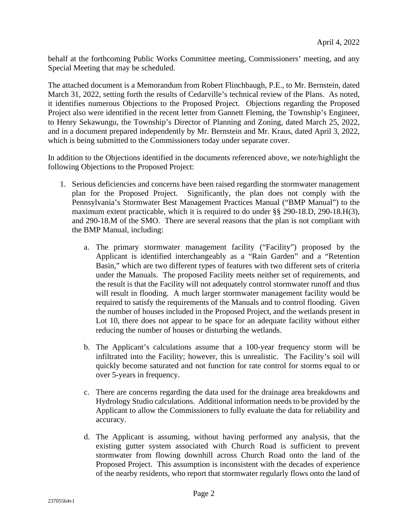behalf at the forthcoming Public Works Committee meeting, Commissioners' meeting, and any Special Meeting that may be scheduled.

The attached document is a Memorandum from Robert Flinchbaugh, P.E., to Mr. Bernstein, dated March 31, 2022, setting forth the results of Cedarville's technical review of the Plans. As noted, it identifies numerous Objections to the Proposed Project. Objections regarding the Proposed Project also were identified in the recent letter from Gannett Fleming, the Township's Engineer, to Henry Sekawungu, the Township's Director of Planning and Zoning, dated March 25, 2022, and in a document prepared independently by Mr. Bernstein and Mr. Kraus, dated April 3, 2022, which is being submitted to the Commissioners today under separate cover.

In addition to the Objections identified in the documents referenced above, we note/highlight the following Objections to the Proposed Project:

- 1. Serious deficiencies and concerns have been raised regarding the stormwater management plan for the Proposed Project. Significantly, the plan does not comply with the Pennsylvania's Stormwater Best Management Practices Manual ("BMP Manual") to the maximum extent practicable, which it is required to do under §§ 290-18.D, 290-18.H(3), and 290-18.M of the SMO. There are several reasons that the plan is not compliant with the BMP Manual, including:
	- a. The primary stormwater management facility ("Facility") proposed by the Applicant is identified interchangeably as a "Rain Garden" and a "Retention Basin," which are two different types of features with two different sets of criteria under the Manuals. The proposed Facility meets neither set of requirements, and the result is that the Facility will not adequately control stormwater runoff and thus will result in flooding. A much larger stormwater management facility would be required to satisfy the requirements of the Manuals and to control flooding. Given the number of houses included in the Proposed Project, and the wetlands present in Lot 10, there does not appear to be space for an adequate facility without either reducing the number of houses or disturbing the wetlands.
	- b. The Applicant's calculations assume that a 100-year frequency storm will be infiltrated into the Facility; however, this is unrealistic. The Facility's soil will quickly become saturated and not function for rate control for storms equal to or over 5-years in frequency.
	- c. There are concerns regarding the data used for the drainage area breakdowns and Hydrology Studio calculations. Additional information needs to be provided by the Applicant to allow the Commissioners to fully evaluate the data for reliability and accuracy.
	- d. The Applicant is assuming, without having performed any analysis, that the existing gutter system associated with Church Road is sufficient to prevent stormwater from flowing downhill across Church Road onto the land of the Proposed Project. This assumption is inconsistent with the decades of experience of the nearby residents, who report that stormwater regularly flows onto the land of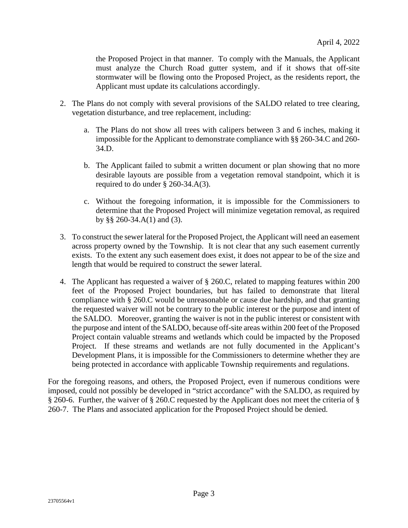the Proposed Project in that manner. To comply with the Manuals, the Applicant must analyze the Church Road gutter system, and if it shows that off-site stormwater will be flowing onto the Proposed Project, as the residents report, the Applicant must update its calculations accordingly.

- 2. The Plans do not comply with several provisions of the SALDO related to tree clearing, vegetation disturbance, and tree replacement, including:
	- a. The Plans do not show all trees with calipers between 3 and 6 inches, making it impossible for the Applicant to demonstrate compliance with §§ 260-34.C and 260- 34.D.
	- b. The Applicant failed to submit a written document or plan showing that no more desirable layouts are possible from a vegetation removal standpoint, which it is required to do under § 260-34.A(3).
	- c. Without the foregoing information, it is impossible for the Commissioners to determine that the Proposed Project will minimize vegetation removal, as required by §§ 260-34.A(1) and (3).
- 3. To construct the sewer lateral for the Proposed Project, the Applicant will need an easement across property owned by the Township. It is not clear that any such easement currently exists. To the extent any such easement does exist, it does not appear to be of the size and length that would be required to construct the sewer lateral.
- 4. The Applicant has requested a waiver of § 260.C, related to mapping features within 200 feet of the Proposed Project boundaries, but has failed to demonstrate that literal compliance with § 260.C would be unreasonable or cause due hardship, and that granting the requested waiver will not be contrary to the public interest or the purpose and intent of the SALDO. Moreover, granting the waiver is not in the public interest or consistent with the purpose and intent of the SALDO, because off-site areas within 200 feet of the Proposed Project contain valuable streams and wetlands which could be impacted by the Proposed Project. If these streams and wetlands are not fully documented in the Applicant's Development Plans, it is impossible for the Commissioners to determine whether they are being protected in accordance with applicable Township requirements and regulations.

For the foregoing reasons, and others, the Proposed Project, even if numerous conditions were imposed, could not possibly be developed in "strict accordance" with the SALDO, as required by § 260-6. Further, the waiver of § 260.C requested by the Applicant does not meet the criteria of § 260-7. The Plans and associated application for the Proposed Project should be denied.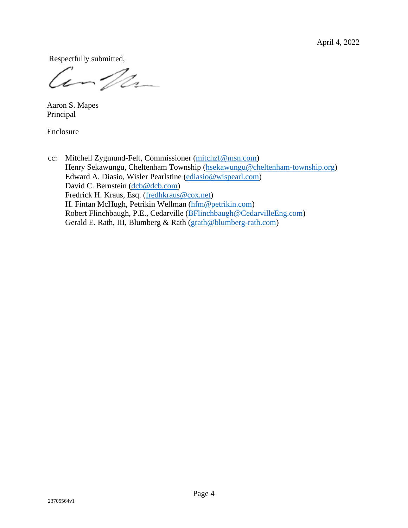April 4, 2022

Respectfully submitted,

Compa

 Aaron S. Mapes Principal

Enclosure

cc: Mitchell Zygmund-Felt, Commissioner (mitchzf@msn.com) Henry Sekawungu, Cheltenham Township (hsekawungu@cheltenham-township.org) Edward A. Diasio, Wisler Pearlstine (ediasio@wispearl.com) David C. Bernstein (dcb@dcb.com) Fredrick H. Kraus, Esq. (fredhkraus@cox.net) H. Fintan McHugh, Petrikin Wellman (hfm@petrikin.com) Robert Flinchbaugh, P.E., Cedarville (BFlinchbaugh@CedarvilleEng.com) Gerald E. Rath, III, Blumberg & Rath (grath@blumberg-rath.com)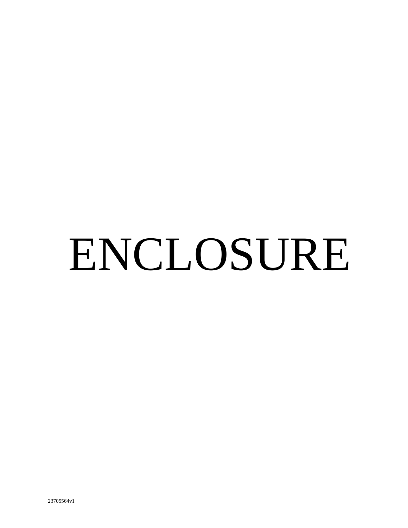# ENCLOSURE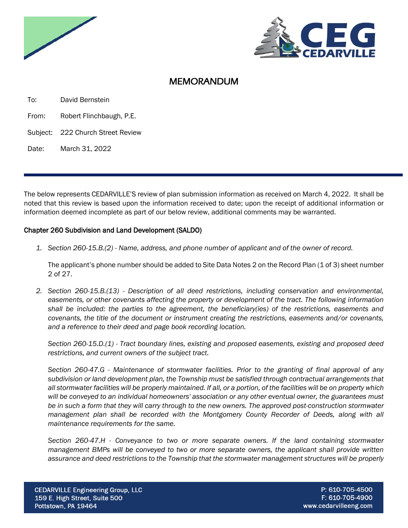



# MEMORANDUM

To: David Bernstein

From: Robert Flinchbaugh, P.E.

Subject: 222 Church Street Review

Date: March 31, 2022

The below represents CEDARVILLE'S review of plan submission information as received on March 4, 2022. It shall be noted that this review is based upon the information received to date; upon the receipt of additional information or information deemed incomplete as part of our below review, additional comments may be warranted.

### Chapter 260 Subdivision and Land Development (SALDO)

*1. Section 260-15.B.(2) - Name, address, and phone number of applicant and of the owner of record.*

The applicant's phone number should be added to Site Data Notes 2 on the Record Plan (1 of 3) sheet number 2 of 27.

*2. Section 260-15.B.(13) - Description of all deed restrictions, including conservation and environmental, easements, or other covenants affecting the property or development of the tract. The following information shall be included: the parties to the agreement, the beneficiary(ies) of the restrictions, easements and covenants, the title of the document or instrument creating the restrictions, easements and/or covenants, and a reference to their deed and page book recording location.*

*Section 260-15.D.(1) - Tract boundary lines, existing and proposed easements, existing and proposed deed restrictions, and current owners of the subject tract.*

*Section 260-47.G - Maintenance of stormwater facilities. Prior to the granting of final approval of any subdivision or land development plan, the Township must be satisfied through contractual arrangements that all stormwater facilities will be properly maintained. If all, or a portion, of the facilities will be on property which will be conveyed to an individual homeowners' association or any other eventual owner, the guarantees must be in such a form that they will carry through to the new owners. The approved post-construction stormwater management plan shall be recorded with the Montgomery County Recorder of Deeds, along with all maintenance requirements for the same.*

*Section 260-47.H - Conveyance to two or more separate owners. If the land containing stormwater management BMPs will be conveyed to two or more separate owners, the applicant shall provide written assurance and deed restrictions to the Township that the stormwater management structures will be properly*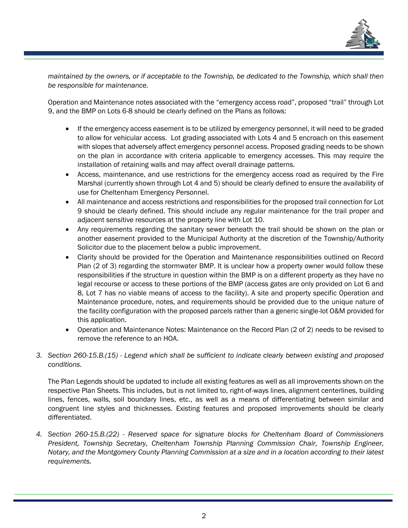

*maintained by the owners, or if acceptable to the Township, be dedicated to the Township, which shall then be responsible for maintenance.*

Operation and Maintenance notes associated with the "emergency access road", proposed "trail" through Lot 9, and the BMP on Lots 6-8 should be clearly defined on the Plans as follows:

- If the emergency access easement is to be utilized by emergency personnel, it will need to be graded to allow for vehicular access. Lot grading associated with Lots 4 and 5 encroach on this easement with slopes that adversely affect emergency personnel access. Proposed grading needs to be shown on the plan in accordance with criteria applicable to emergency accesses. This may require the installation of retaining walls and may affect overall drainage patterns.
- Access, maintenance, and use restrictions for the emergency access road as required by the Fire Marshal (currently shown through Lot 4 and 5) should be clearly defined to ensure the availability of use for Cheltenham Emergency Personnel.
- All maintenance and access restrictions and responsibilities for the proposed trail connection for Lot 9 should be clearly defined. This should include any regular maintenance for the trail proper and adjacent sensitive resources at the property line with Lot 10.
- Any requirements regarding the sanitary sewer beneath the trail should be shown on the plan or another easement provided to the Municipal Authority at the discretion of the Township/Authority Solicitor due to the placement below a public improvement.
- Clarity should be provided for the Operation and Maintenance responsibilities outlined on Record Plan (2 of 3) regarding the stormwater BMP. It is unclear how a property owner would follow these responsibilities if the structure in question within the BMP is on a different property as they have no legal recourse or access to these portions of the BMP (access gates are only provided on Lot 6 and 8, Lot 7 has no viable means of access to the facility). A site and property specific Operation and Maintenance procedure, notes, and requirements should be provided due to the unique nature of the facility configuration with the proposed parcels rather than a generic single-lot O&M provided for this application.
- Operation and Maintenance Notes: Maintenance on the Record Plan (2 of 2) needs to be revised to remove the reference to an HOA.
- *3. Section 260-15.B.(15) - Legend which shall be sufficient to indicate clearly between existing and proposed conditions.*

The Plan Legends should be updated to include all existing features as well as all improvements shown on the respective Plan Sheets. This includes, but is not limited to, right-of-ways lines, alignment centerlines, building lines, fences, walls, soil boundary lines, etc., as well as a means of differentiating between similar and congruent line styles and thicknesses. Existing features and proposed improvements should be clearly differentiated.

*4. Section 260-15.B.(22) - Reserved space for signature blocks for Cheltenham Board of Commissioners President, Township Secretary, Cheltenham Township Planning Commission Chair, Township Engineer, Notary, and the Montgomery County Planning Commission at a size and in a location according to their latest requirements.*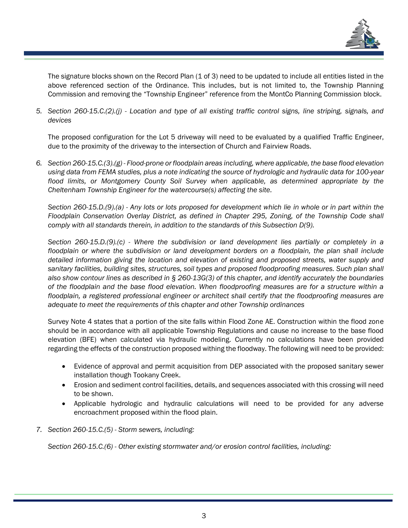

The signature blocks shown on the Record Plan (1 of 3) need to be updated to include all entities listed in the above referenced section of the Ordinance. This includes, but is not limited to, the Township Planning Commission and removing the "Township Engineer" reference from the MontCo Planning Commission block.

*5. Section 260-15.C.(2).(j) - Location and type of all existing traffic control signs, line striping, signals, and devices*

The proposed configuration for the Lot 5 driveway will need to be evaluated by a qualified Traffic Engineer, due to the proximity of the driveway to the intersection of Church and Fairview Roads.

*6. Section 260-15.C.(3).(g) - Flood-prone or floodplain areas including, where applicable, the base flood elevation using data from FEMA studies, plus a note indicating the source of hydrologic and hydraulic data for 100-year flood limits, or Montgomery County Soil Survey when applicable, as determined appropriate by the Cheltenham Township Engineer for the watercourse(s) affecting the site.*

*Section 260-15.D.(9).(a) - Any lots or lots proposed for development which lie in whole or in part within the Floodplain Conservation Overlay District, as defined in Chapter [295,](https://ecode360.com/6448532#6448532) Zoning, of the Township Code shall comply with all standards therein, in addition to the standards of this Subsection [D\(9\).](https://ecode360.com/36415547#36415547)*

*Section 260-15.D.(9).(c) - Where the subdivision or land development lies partially or completely in a floodplain or where the subdivision or land development borders on a floodplain, the plan shall include detailed information giving the location and elevation of existing and proposed streets, water supply and sanitary facilities, building sites, structures, soil types and proposed floodproofing measures. Such plan shall also show contour lines as described in § 260-13G(3) of this chapter, and identify accurately the boundaries of the floodplain and the base flood elevation. When floodproofing measures are for a structure within a floodplain, a registered professional engineer or architect shall certify that the floodproofing measures are adequate to meet the requirements of this chapter and other Township ordinances*

Survey Note 4 states that a portion of the site falls within Flood Zone AE. Construction within the flood zone should be in accordance with all applicable Township Regulations and cause no increase to the base flood elevation (BFE) when calculated via hydraulic modeling. Currently no calculations have been provided regarding the effects of the construction proposed withing the floodway. The following will need to be provided:

- Evidence of approval and permit acquisition from DEP associated with the proposed sanitary sewer installation though Tookany Creek.
- Erosion and sediment control facilities, details, and sequences associated with this crossing will need to be shown.
- Applicable hydrologic and hydraulic calculations will need to be provided for any adverse encroachment proposed within the flood plain.
- *7. Section 260-15.C.(5) - Storm sewers, including:*

*Section 260-15.C.(6) - Other existing stormwater and/or erosion control facilities, including:*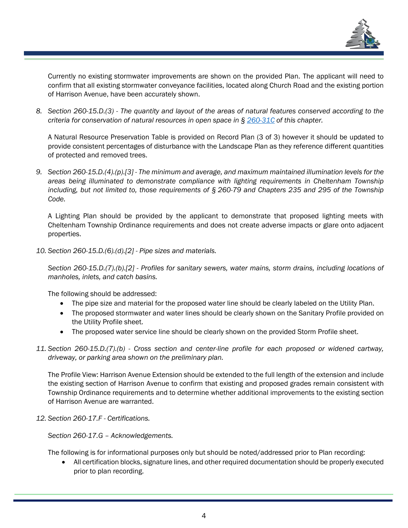

Currently no existing stormwater improvements are shown on the provided Plan. The applicant will need to confirm that all existing stormwater conveyance facilities, located along Church Road and the existing portion of Harrison Avenue, have been accurately shown.

*8. Section 260-15.D.(3) - The quantity and layout of the areas of natural features conserved according to the criteria for conservation of natural resources in open space in § [260-31C](https://ecode360.com/36415826#36415826) of this chapter.*

A Natural Resource Preservation Table is provided on Record Plan (3 of 3) however it should be updated to provide consistent percentages of disturbance with the Landscape Plan as they reference different quantities of protected and removed trees.

*9. Section 260-15.D.(4).(p).[3] - The minimum and average, and maximum maintained illumination levels for the areas being illuminated to demonstrate compliance with lighting requirements in Cheltenham Township including, but not limited to, those requirements of § [260-79](https://ecode360.com/36416701#36416701) and Chapters 235 and 295 of the Township Code.*

A Lighting Plan should be provided by the applicant to demonstrate that proposed lighting meets with Cheltenham Township Ordinance requirements and does not create adverse impacts or glare onto adjacent properties.

*10. Section 260-15.D.(6).(d).[2] - Pipe sizes and materials.*

*Section 260-15.D.(7).(b).[2] - Profiles for sanitary sewers, water mains, storm drains, including locations of manholes, inlets, and catch basins.*

The following should be addressed:

- The pipe size and material for the proposed water line should be clearly labeled on the Utility Plan.
- The proposed stormwater and water lines should be clearly shown on the Sanitary Profile provided on the Utility Profile sheet.
- The proposed water service line should be clearly shown on the provided Storm Profile sheet.
- *11. Section 260-15.D.(7).(b) - Cross section and center-line profile for each proposed or widened cartway, driveway, or parking area shown on the preliminary plan.*

The Profile View: Harrison Avenue Extension should be extended to the full length of the extension and include the existing section of Harrison Avenue to confirm that existing and proposed grades remain consistent with Township Ordinance requirements and to determine whether additional improvements to the existing section of Harrison Avenue are warranted.

*12. Section 260-17.F - Certifications.*

*Section 260-17.G – Acknowledgements.*

The following is for informational purposes only but should be noted/addressed prior to Plan recording:

• All certification blocks, signature lines, and other required documentation should be properly executed prior to plan recording.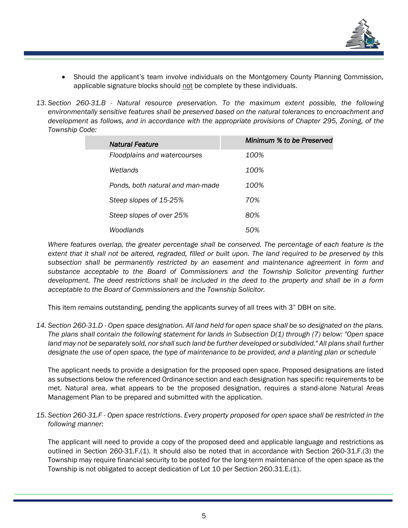

- Should the applicant's team involve individuals on the Montgomery County Planning Commission, applicable signature blocks should not be complete by these individuals.
- *13. Section 260-31.B - Natural resource preservation. To the maximum extent possible, the following environmentally sensitive features shall be preserved based on the natural tolerances to encroachment and development as follows, and in accordance with the appropriate provisions of Chapter [295,](https://ecode360.com/6448532#6448532) Zoning, of the Township Code:*

| Natural Feature                  | Minimum % to be Preserved |
|----------------------------------|---------------------------|
| Floodplains and watercourses     | 100%                      |
| Wetlands                         | 100%                      |
| Ponds, both natural and man-made | 100%                      |
| Steep slopes of 15-25%           | 70%                       |
| Steep slopes of over 25%         | 80%                       |
| Woodlands                        | 50%                       |

*Where features overlap, the greater percentage shall be conserved. The percentage of each feature is the extent that it shall not be altered, regraded, filled or built upon. The land required to be preserved by this subsection shall be permanently restricted by an easement and maintenance agreement in form and substance acceptable to the Board of Commissioners and the Township Solicitor preventing further development. The deed restrictions shall be included in the deed to the property and shall be in a form acceptable to the Board of Commissioners and the Township Solicitor.*

This item remains outstanding, pending the applicants survey of all trees with 3" DBH on site.

*14. Section 260-31.D - Open space designation. All land held for open space shall be so designated on the plans. The plans shall contain the following statement for lands in Subsection [D\(1\)](https://ecode360.com/36415840#36415840) through [\(7\)](https://ecode360.com/36415846#36415846) below: "Open space*  land may not be separately sold, nor shall such land be further developed or subdivided." All plans shall further *designate the use of open space, the type of maintenance to be provided, and a planting plan or schedule*

The applicant needs to provide a designation for the proposed open space. Proposed designations are listed as subsections below the referenced Ordinance section and each designation has specific requirements to be met. Natural area, what appears to be the proposed designation, requires a stand-alone Natural Areas Management Plan to be prepared and submitted with the application.

*15. Section 260-31.F - Open space restrictions. Every property proposed for open space shall be restricted in the following manner:*

The applicant will need to provide a copy of the proposed deed and applicable language and restrictions as outlined in Section 260-31.F.(1). It should also be noted that in accordance with Section 260-31.F.(3) the Township may require financial security to be posted for the long-term maintenance of the open space as the Township is not obligated to accept dedication of Lot 10 per Section 260.31.E.(1).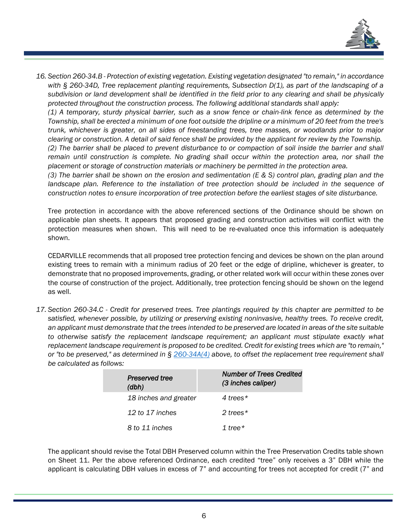

*16. Section 260-34.B - Protection of existing vegetation. Existing vegetation designated "to remain," in accordance with § 260-34D, Tree replacement planting requirements, Subsection D(1), as part of the landscaping of a subdivision or land development shall be identified in the field prior to any clearing and shall be physically protected throughout the construction process. The following additional standards shall apply:*

*(1) A temporary, sturdy physical barrier, such as a snow fence or chain-link fence as determined by the Township, shall be erected a minimum of one foot outside the dripline or a minimum of 20 feet from the tree's trunk, whichever is greater, on all sides of freestanding trees, tree masses, or woodlands prior to major clearing or construction. A detail of said fence shall be provided by the applicant for review by the Township. (2) The barrier shall be placed to prevent disturbance to or compaction of soil inside the barrier and shall remain until construction is complete. No grading shall occur within the protection area, nor shall the placement or storage of construction materials or machinery be permitted in the protection area.*

*(3) The barrier shall be shown on the erosion and sedimentation (E & S) control plan, grading plan and the*  landscape plan. Reference to the installation of tree protection should be included in the sequence of *construction notes to ensure incorporation of tree protection before the earliest stages of site disturbance.*

Tree protection in accordance with the above referenced sections of the Ordinance should be shown on applicable plan sheets. It appears that proposed grading and construction activities will conflict with the protection measures when shown. This will need to be re-evaluated once this information is adequately shown.

CEDARVILLE recommends that all proposed tree protection fencing and devices be shown on the plan around existing trees to remain with a minimum radius of 20 feet or the edge of dripline, whichever is greater, to demonstrate that no proposed improvements, grading, or other related work will occur within these zones over the course of construction of the project. Additionally, tree protection fencing should be shown on the legend as well.

*17. Section 260-34.C - Credit for preserved trees. Tree plantings required by this chapter are permitted to be satisfied, whenever possible, by utilizing or preserving existing noninvasive, healthy trees. To receive credit, an applicant must demonstrate that the trees intended to be preserved are located in areas of the site suitable to otherwise satisfy the replacement landscape requirement; an applicant must stipulate exactly what replacement landscape requirement is proposed to be credited. Credit for existing trees which are "to remain," or "to be preserved," as determined in § [260-34A\(4\)](https://ecode360.com/36415890#36415890) above, to offset the replacement tree requirement shall be calculated as follows:*

| Preserved tree<br>(dbh) | <b>Number of Trees Credited</b><br>(3 inches caliper) |
|-------------------------|-------------------------------------------------------|
| 18 inches and greater   | 4 trees $*$                                           |
| 12 to 17 inches         | 2 trees $*$                                           |
| 8 to 11 inches          | 1 tree $\star$                                        |

The applicant should revise the Total DBH Preserved column within the Tree Preservation Credits table shown on Sheet 11. Per the above referenced Ordinance, each credited "tree" only receives a 3" DBH while the applicant is calculating DBH values in excess of 7" and accounting for trees not accepted for credit (7" and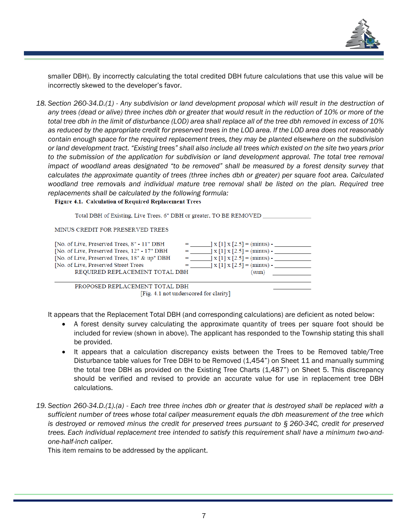

smaller DBH). By incorrectly calculating the total credited DBH future calculations that use this value will be incorrectly skewed to the developer's favor.

*18. Section 260-34.D.(1) - Any subdivision or land development proposal which will result in the destruction of any trees (dead or alive) three inches dbh or greater that would result in the reduction of 10% or more of the total tree dbh in the limit of disturbance (LOD) area shall replace all of the tree dbh removed in excess of 10% as reduced by the appropriate credit for preserved trees in the LOD area. If the LOD area does not reasonably contain enough space for the required replacement trees, they may be planted elsewhere on the subdivision or land development tract. "Existing trees" shall also include all trees which existed on the site two years prior to the submission of the application for subdivision or land development approval. The total tree removal impact of woodland areas designated "to be removed" shall be measured by a forest density survey that calculates the approximate quantity of trees (three inches dbh or greater) per square foot area. Calculated woodland tree removals and individual mature tree removal shall be listed on the plan. Required tree replacements shall be calculated by the following formula:*

Figure 4.1. Calculation of Required Replacement Trees

Total DBH of Existing, Live Trees, 6" DBH or greater, TO BE REMOVED \_\_

MINUS CREDIT FOR PRESERVED TREES

| [No. of Live, Preserved Trees, 8" - 11" DBH  |         | $\chi$ [1] $\chi$ [2.5] = (minus) - |  |
|----------------------------------------------|---------|-------------------------------------|--|
| [No. of Live, Preserved Trees, 12" - 17" DBH |         | $x[1] x[2.5] = (minus) -$           |  |
| [No. of Live, Preserved Trees, 18" & up" DBH | $=$ $-$ | $\chi$ [1] $\chi$ [2.5] = (minus) - |  |
| [No. of Live, Preserved Street Trees]        |         | $x[1] x[2.5] = (minus) -$           |  |
| REQUIRED REPLACEMENT TOTAL DBH               |         | (sum)                               |  |
|                                              |         |                                     |  |

PROPOSED REPLACEMENT TOTAL DBH [Fig. 4.1 not underscored for clarity]

It appears that the Replacement Total DBH (and corresponding calculations) are deficient as noted below:

- A forest density survey calculating the approximate quantity of trees per square foot should be included for review (shown in above). The applicant has responded to the Township stating this shall be provided.
- It appears that a calculation discrepancy exists between the Trees to be Removed table/Tree Disturbance table values for Tree DBH to be Removed (1,454") on Sheet 11 and manually summing the total tree DBH as provided on the Existing Tree Charts (1,487") on Sheet 5. This discrepancy should be verified and revised to provide an accurate value for use in replacement tree DBH calculations.
- *19. Section 260-34.D.(1).(a) - Each tree three inches dbh or greater that is destroyed shall be replaced with a sufficient number of trees whose total caliper measurement equals the dbh measurement of the tree which is destroyed or removed minus the credit for preserved trees pursuant to § [260-34C,](https://ecode360.com/36415903#36415903) credit for preserved trees. Each individual replacement tree intended to satisfy this requirement shall have a minimum two-andone-half-inch caliper.*

This item remains to be addressed by the applicant.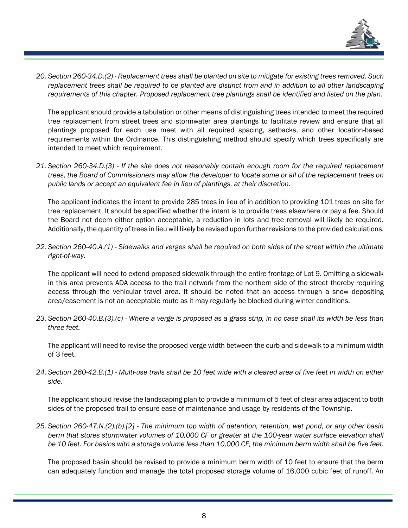

*20. Section 260-34.D.(2) - Replacement trees shall be planted on site to mitigate for existing trees removed. Such replacement trees shall be required to be planted are distinct from and in addition to all other landscaping requirements of this chapter. Proposed replacement tree plantings shall be identified and listed on the plan.*

The applicant should provide a tabulation or other means of distinguishing trees intended to meet the required tree replacement from street trees and stormwater area plantings to facilitate review and ensure that all plantings proposed for each use meet with all required spacing, setbacks, and other location-based requirements within the Ordinance. This distinguishing method should specify which trees specifically are intended to meet which requirement.

*21. Section 260-34.D.(3) - If the site does not reasonably contain enough room for the required replacement trees, the Board of Commissioners may allow the developer to locate some or all of the replacement trees on public lands or accept an equivalent fee in lieu of plantings, at their discretion.*

The applicant indicates the intent to provide 285 trees in lieu of in addition to providing 101 trees on site for tree replacement. It should be specified whether the intent is to provide trees elsewhere or pay a fee. Should the Board not deem either option acceptable, a reduction in lots and tree removal will likely be required. Additionally, the quantity of trees in lieu will likely be revised upon further revisions to the provided calculations.

*22. Section 260-40.A.(1) - Sidewalks and verges shall be required on both sides of the street within the ultimate right-of-way.*

The applicant will need to extend proposed sidewalk through the entire frontage of Lot 9. Omitting a sidewalk in this area prevents ADA access to the trail network from the northern side of the street thereby requiring access through the vehicular travel area. It should be noted that an access through a snow depositing area/easement is not an acceptable route as it may regularly be blocked during winter conditions.

*23. Section 260-40.B.(3).(c) - Where a verge is proposed as a grass strip, in no case shall its width be less than three feet.*

The applicant will need to revise the proposed verge width between the curb and sidewalk to a minimum width of 3 feet.

*24. Section 260-42.B.(1) - Multi-use trails shall be 10 feet wide with a cleared area of five feet in width on either side.*

The applicant should revise the landscaping plan to provide a minimum of 5 feet of clear area adjacent to both sides of the proposed trail to ensure ease of maintenance and usage by residents of the Township.

*25. Section 260-47.N.(2).(b).[2] - The minimum top width of detention, retention, wet pond, or any other basin berm that stores stormwater volumes of 10,000 CF or greater at the 100-year water surface elevation shall be 10 feet. For basins with a storage volume less than 10,000 CF, the minimum berm width shall be five feet.*

The proposed basin should be revised to provide a minimum berm width of 10 feet to ensure that the berm can adequately function and manage the total proposed storage volume of 16,000 cubic feet of runoff. An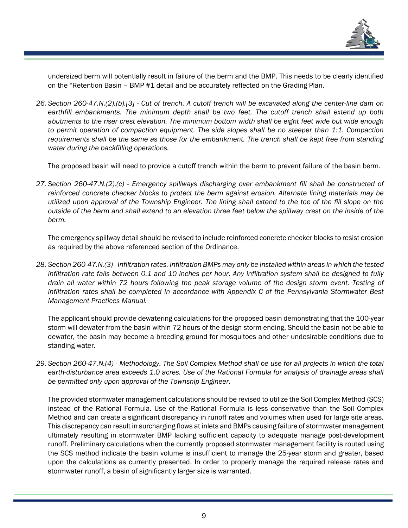

undersized berm will potentially result in failure of the berm and the BMP. This needs to be clearly identified on the "Retention Basin – BMP #1 detail and be accurately reflected on the Grading Plan.

*26. Section 260-47.N.(2).(b).[3] - Cut of trench. A cutoff trench will be excavated along the center-line dam on earthfill embankments. The minimum depth shall be two feet. The cutoff trench shall extend up both abutments to the riser crest elevation. The minimum bottom width shall be eight feet wide but wide enough to permit operation of compaction equipment. The side slopes shall be no steeper than 1:1. Compaction requirements shall be the same as those for the embankment. The trench shall be kept free from standing water during the backfilling operations.*

The proposed basin will need to provide a cutoff trench within the berm to prevent failure of the basin berm.

*27. Section 260-47.N.(2).(c) - Emergency spillways discharging over embankment fill shall be constructed of reinforced concrete checker blocks to protect the berm against erosion. Alternate lining materials may be utilized upon approval of the Township Engineer. The lining shall extend to the toe of the fill slope on the outside of the berm and shall extend to an elevation three feet below the spillway crest on the inside of the berm.*

The emergency spillway detail should be revised to include reinforced concrete checker blocks to resist erosion as required by the above referenced section of the Ordinance.

*28. Section 260-47.N.(3) - Infiltration rates. Infiltration BMPs may only be installed within areas in which the tested infiltration rate falls between 0.1 and 10 inches per hour. Any infiltration system shall be designed to fully drain all water within 72 hours following the peak storage volume of the design storm event. Testing of infiltration rates shall be completed in accordance with Appendix C of the Pennsylvania Stormwater Best Management Practices Manual.*

The applicant should provide dewatering calculations for the proposed basin demonstrating that the 100-year storm will dewater from the basin within 72 hours of the design storm ending. Should the basin not be able to dewater, the basin may become a breeding ground for mosquitoes and other undesirable conditions due to standing water.

*29. Section 260-47.N.(4) - Methodology. The Soil Complex Method shall be use for all projects in which the total earth-disturbance area exceeds 1.0 acres. Use of the Rational Formula for analysis of drainage areas shall be permitted only upon approval of the Township Engineer.*

The provided stormwater management calculations should be revised to utilize the Soil Complex Method (SCS) instead of the Rational Formula. Use of the Rational Formula is less conservative than the Soil Complex Method and can create a significant discrepancy in runoff rates and volumes when used for large site areas. This discrepancy can result in surcharging flows at inlets and BMPs causing failure of stormwater management ultimately resulting in stormwater BMP lacking sufficient capacity to adequate manage post-development runoff. Preliminary calculations when the currently proposed stormwater management facility is routed using the SCS method indicate the basin volume is insufficient to manage the 25-year storm and greater, based upon the calculations as currently presented. In order to properly manage the required release rates and stormwater runoff, a basin of significantly larger size is warranted.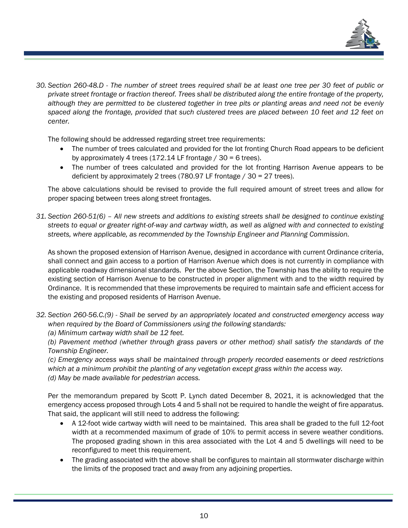

*30. Section 260-48.D - The number of street trees required shall be at least one tree per 30 feet of public or private street frontage or fraction thereof. Trees shall be distributed along the entire frontage of the property, although they are permitted to be clustered together in tree pits or planting areas and need not be evenly spaced along the frontage, provided that such clustered trees are placed between 10 feet and 12 feet on center.*

The following should be addressed regarding street tree requirements:

- The number of trees calculated and provided for the lot fronting Church Road appears to be deficient by approximately 4 trees (172.14 LF frontage  $/$  30 = 6 trees).
- The number of trees calculated and provided for the lot fronting Harrison Avenue appears to be deficient by approximately 2 trees (780.97 LF frontage / 30 = 27 trees).

The above calculations should be revised to provide the full required amount of street trees and allow for proper spacing between trees along street frontages.

*31. Section 260-51(6) – All new streets and additions to existing streets shall be designed to continue existing streets to equal or greater right-of-way and cartway width, as well as aligned with and connected to existing streets, where applicable, as recommended by the Township Engineer and Planning Commission.*

As shown the proposed extension of Harrison Avenue, designed in accordance with current Ordinance criteria, shall connect and gain access to a portion of Harrison Avenue which does is not currently in compliance with applicable roadway dimensional standards. Per the above Section, the Township has the ability to require the existing section of Harrison Avenue to be constructed in proper alignment with and to the width required by Ordinance. It is recommended that these improvements be required to maintain safe and efficient access for the existing and proposed residents of Harrison Avenue.

*32. Section 260-56.C.(9) - Shall be served by an appropriately located and constructed emergency access way when required by the Board of Commissioners using the following standards:*

*(a) Minimum cartway width shall be 12 feet.*

*(b) Pavement method (whether through grass pavers or other method) shall satisfy the standards of the Township Engineer.*

*(c) Emergency access ways shall be maintained through properly recorded easements or deed restrictions which at a minimum prohibit the planting of any vegetation except grass within the access way. (d) May be made available for pedestrian access.*

Per the memorandum prepared by Scott P. Lynch dated December 8, 2021, it is acknowledged that the emergency access proposed through Lots 4 and 5 shall not be required to handle the weight of fire apparatus. That said, the applicant will still need to address the following:

- A 12-foot wide cartway width will need to be maintained. This area shall be graded to the full 12-foot width at a recommended maximum of grade of 10% to permit access in severe weather conditions. The proposed grading shown in this area associated with the Lot 4 and 5 dwellings will need to be reconfigured to meet this requirement.
- The grading associated with the above shall be configures to maintain all stormwater discharge within the limits of the proposed tract and away from any adjoining properties.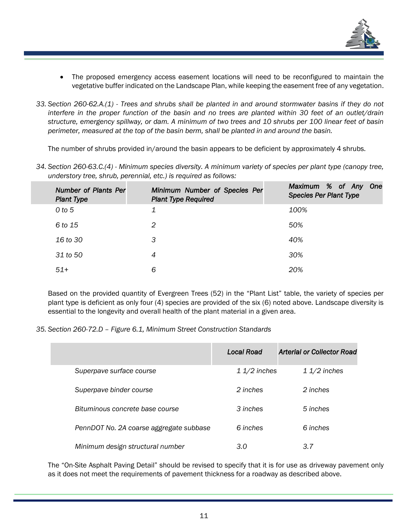

- The proposed emergency access easement locations will need to be reconfigured to maintain the vegetative buffer indicated on the Landscape Plan, while keeping the easement free of any vegetation.
- *33. Section 260-62.A.(1) - Trees and shrubs shall be planted in and around stormwater basins if they do not interfere in the proper function of the basin and no trees are planted within 30 feet of an outlet/drain structure, emergency spillway, or dam. A minimum of two trees and 10 shrubs per 100 linear feet of basin perimeter, measured at the top of the basin berm, shall be planted in and around the basin.*

The number of shrubs provided in/around the basin appears to be deficient by approximately 4 shrubs.

*34. Section 260-63.C.(4) - Minimum species diversity. A minimum variety of species per plant type (canopy tree, understory tree, shrub, perennial, etc.) is required as follows:*

| <b>Number of Plants Per</b><br><b>Plant Type</b> | Minimum Number of Species Per<br><b>Plant Type Required</b> | Maximum % of Any One<br><b>Species Per Plant Type</b> |
|--------------------------------------------------|-------------------------------------------------------------|-------------------------------------------------------|
| $0$ to $5$                                       |                                                             | 100%                                                  |
| 6 to 15                                          | 2                                                           | 50%                                                   |
| 16 to 30                                         | З                                                           | 40%                                                   |
| 31 to 50                                         | 4                                                           | 30%                                                   |
| $51+$                                            | 6                                                           | 20%                                                   |

Based on the provided quantity of Evergreen Trees (52) in the "Plant List" table, the variety of species per plant type is deficient as only four (4) species are provided of the six (6) noted above. Landscape diversity is essential to the longevity and overall health of the plant material in a given area.

*35. Section 260-72.D – Figure 6.1, Minimum Street Construction Standards*

|                                         | Local Road    | Arterial or Collector Road |
|-----------------------------------------|---------------|----------------------------|
| Superpave surface course                | $11/2$ inches | $11/2$ inches              |
| Superpave binder course                 | 2 inches      | 2 inches                   |
| Bituminous concrete base course         | 3 inches      | 5 inches                   |
| PennDOT No. 2A coarse aggregate subbase | 6 inches      | 6 inches                   |
| Minimum design structural number        | 3.0           | 3.7                        |

The "On-Site Asphalt Paving Detail" should be revised to specify that it is for use as driveway pavement only as it does not meet the requirements of pavement thickness for a roadway as described above.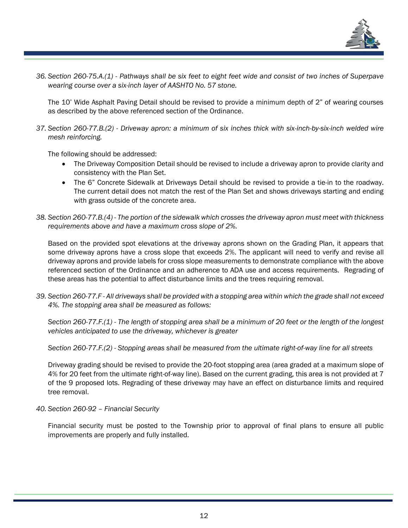

*36. Section 260-75.A.(1) - Pathways shall be six feet to eight feet wide and consist of two inches of Superpave wearing course over a six-inch layer of AASHTO No. 57 stone.*

The 10' Wide Asphalt Paving Detail should be revised to provide a minimum depth of 2" of wearing courses as described by the above referenced section of the Ordinance.

*37. Section 260-77.B.(2) - Driveway apron: a minimum of six inches thick with six-inch-by-six-inch welded wire mesh reinforcing.*

The following should be addressed:

- The Driveway Composition Detail should be revised to include a driveway apron to provide clarity and consistency with the Plan Set.
- The 6" Concrete Sidewalk at Driveways Detail should be revised to provide a tie-in to the roadway. The current detail does not match the rest of the Plan Set and shows driveways starting and ending with grass outside of the concrete area.
- *38. Section 260-77.B.(4) - The portion of the sidewalk which crosses the driveway apron must meet with thickness requirements above and have a maximum cross slope of 2%.*

Based on the provided spot elevations at the driveway aprons shown on the Grading Plan, it appears that some driveway aprons have a cross slope that exceeds 2%. The applicant will need to verify and revise all driveway aprons and provide labels for cross slope measurements to demonstrate compliance with the above referenced section of the Ordinance and an adherence to ADA use and access requirements. Regrading of these areas has the potential to affect disturbance limits and the trees requiring removal.

*39. Section 260-77.F - All driveways shall be provided with a stopping area within which the grade shall not exceed 4%. The stopping area shall be measured as follows:*

*Section 260-77.F.(1) - The length of stopping area shall be a minimum of 20 feet or the length of the longest vehicles anticipated to use the driveway, whichever is greater*

*Section 260-77.F.(2) - Stopping areas shall be measured from the ultimate right-of-way line for all streets*

Driveway grading should be revised to provide the 20-foot stopping area (area graded at a maximum slope of 4% for 20 feet from the ultimate right-of-way line). Based on the current grading, this area is not provided at 7 of the 9 proposed lots. Regrading of these driveway may have an effect on disturbance limits and required tree removal.

### *40. Section 260-92 – Financial Security*

Financial security must be posted to the Township prior to approval of final plans to ensure all public improvements are properly and fully installed.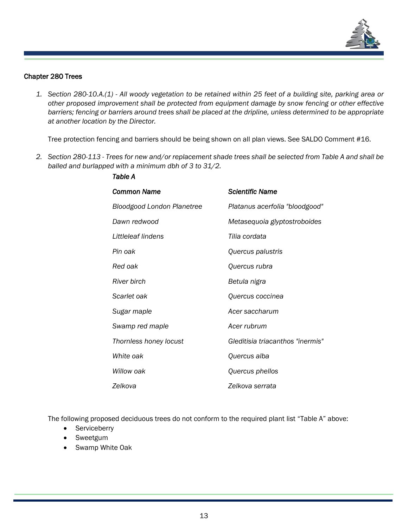

#### Chapter 280 Trees

*1. Section 280-10.A.(1) - All woody vegetation to be retained within 25 feet of a building site, parking area or other proposed improvement shall be protected from equipment damage by snow fencing or other effective*  barriers; fencing or barriers around trees shall be placed at the dripline, unless determined to be appropriate *at another location by the Director.*

Tree protection fencing and barriers should be being shown on all plan views. See SALDO Comment #16.

*2. Section 280-113 - Trees for new and/or replacement shade trees shall be selected from Table A and shall be balled and burlapped with a minimum dbh of 3 to 31/2.*

| <b>Common Name</b>                | <b>Scientific Name</b>           |
|-----------------------------------|----------------------------------|
| <b>Bloodgood London Planetree</b> | Platanus acerfolia "bloodgood"   |
| Dawn redwood                      | Metasequoia glyptostroboides     |
| Littleleaf lindens                | Tilia cordata                    |
| Pin oak                           | Quercus palustris                |
| Red oak                           | Quercus rubra                    |
| River birch                       | Betula nigra                     |
| Scarlet oak                       | Quercus coccinea                 |
| Sugar maple                       | Acer saccharum                   |
| Swamp red maple                   | Acer rubrum                      |
| Thornless honey locust            | Gleditisia triacanthos "inermis" |
| White oak                         | Quercus alba                     |
| Willow oak                        | Quercus phellos                  |
| Zelkova                           | Zelkova serrata                  |

The following proposed deciduous trees do not conform to the required plant list "Table A" above:

- Serviceberry
- 
- Sweetgum
- Swamp White Oak

*Table A*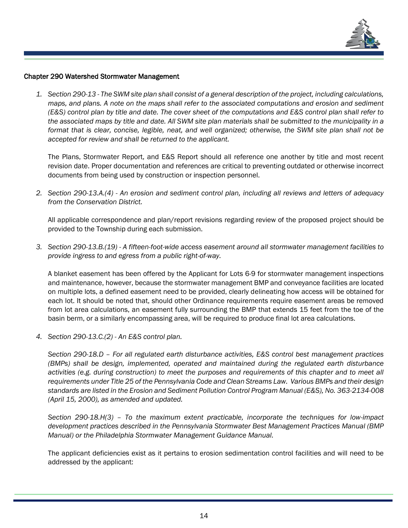

#### Chapter 290 Watershed Stormwater Management

*1. Section 290-13 - The SWM site plan shall consist of a general description of the project, including calculations, maps, and plans. A note on the maps shall refer to the associated computations and erosion and sediment (E&S) control plan by title and date. The cover sheet of the computations and E&S control plan shall refer to the associated maps by title and date. All SWM site plan materials shall be submitted to the municipality in a format that is clear, concise, legible, neat, and well organized; otherwise, the SWM site plan shall not be accepted for review and shall be returned to the applicant.*

The Plans, Stormwater Report, and E&S Report should all reference one another by title and most recent revision date. Proper documentation and references are critical to preventing outdated or otherwise incorrect documents from being used by construction or inspection personnel.

*2. Section 290-13.A.(4) - An erosion and sediment control plan, including all reviews and letters of adequacy from the Conservation District.*

All applicable correspondence and plan/report revisions regarding review of the proposed project should be provided to the Township during each submission.

*3. Section 290-13.B.(19) - A fifteen-foot-wide access easement around all stormwater management facilities to provide ingress to and egress from a public right-of-way.*

A blanket easement has been offered by the Applicant for Lots 6-9 for stormwater management inspections and maintenance, however, because the stormwater management BMP and conveyance facilities are located on multiple lots, a defined easement need to be provided, clearly delineating how access will be obtained for each lot. It should be noted that, should other Ordinance requirements require easement areas be removed from lot area calculations, an easement fully surrounding the BMP that extends 15 feet from the toe of the basin berm, or a similarly encompassing area, will be required to produce final lot area calculations.

*4. Section 290-13.C.(2) - An E&S control plan.*

*Section 290-18.D – For all regulated earth disturbance activities, E&S control best management practices (BMPs) shall be design, implemented, operated and maintained during the regulated earth disturbance activities (e.g. during construction) to meet the purposes and requirements of this chapter and to meet all requirements under Title 25 of the Pennsylvania Code and Clean Streams Law. Various BMPs and their design standards are listed in the Erosion and Sediment Pollution Control Program Manual (E&S), No. 363-2134-008 (April 15, 2000), as amended and updated.*

*Section 290-18.H(3) – To the maximum extent practicable, incorporate the techniques for low-impact development practices described in the Pennsylvania Stormwater Best Management Practices Manual (BMP Manual) or the Philadelphia Stormwater Management Guidance Manual.*

The applicant deficiencies exist as it pertains to erosion sedimentation control facilities and will need to be addressed by the applicant: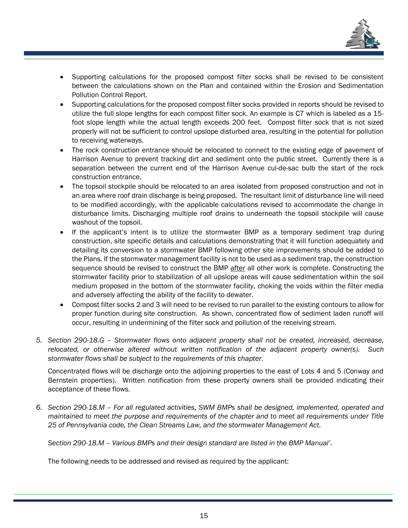

- Supporting calculations for the proposed compost filter socks shall be revised to be consistent between the calculations shown on the Plan and contained within the Erosion and Sedimentation Pollution Control Report.
- Supporting calculations for the proposed compost filter socks provided in reports should be revised to utilize the full slope lengths for each compost filter sock. An example is C7 which is labeled as a 15 foot slope length while the actual length exceeds 200 feet. Compost filter sock that is not sized properly will not be sufficient to control upslope disturbed area, resulting in the potential for pollution to receiving waterways.
- The rock construction entrance should be relocated to connect to the existing edge of pavement of Harrison Avenue to prevent tracking dirt and sediment onto the public street. Currently there is a separation between the current end of the Harrison Avenue cul-de-sac bulb the start of the rock construction entrance.
- The topsoil stockpile should be relocated to an area isolated from proposed construction and not in an area where roof drain discharge is being proposed. The resultant limit of disturbance line will need to be modified accordingly, with the applicable calculations revised to accommodate the change in disturbance limits. Discharging multiple roof drains to underneath the topsoil stockpile will cause washout of the topsoil.
- If the applicant's intent is to utilize the stormwater BMP as a temporary sediment trap during construction, site specific details and calculations demonstrating that it will function adequately and detailing its conversion to a stormwater BMP following other site improvements should be added to the Plans. If the stormwater management facility is not to be used as a sediment trap, the construction sequence should be revised to construct the BMP after all other work is complete. Constructing the stormwater facility prior to stabilization of all upslope areas will cause sedimentation within the soil medium proposed in the bottom of the stormwater facility, choking the voids within the filter media and adversely affecting the ability of the facility to dewater.
- Compost filter socks 2 and 3 will need to be revised to run parallel to the existing contours to allow for proper function during site construction. As shown, concentrated flow of sediment laden runoff will occur, resulting in undermining of the filter sock and pollution of the receiving stream.
- *5. Section 290-18.G – Stormwater flows onto adjacent property shall not be created, increased, decrease, relocated, or otherwise altered without written notification of the adjacent property owner(s). Such stormwater flows shall be subject to the requirements of this chapter.*

Concentrated flows will be discharge onto the adjoining properties to the east of Lots 4 and 5 (Conway and Bernstein properties). Written notification from these property owners shall be provided indicating their acceptance of these flows.

*6. Section 290-18.M – For all regulated activities, SWM BMPs shall be designed, implemented, operated and maintained to meet the purpose and requirements of the chapter and to meet all requirements under Title 25 of Pennsylvania code, the Clean Streams Law, and the stormwater Management Act.*

*Section 290-18.M – Various BMPs and their design standard are listed in the BMP Manual'.*

The following needs to be addressed and revised as required by the applicant: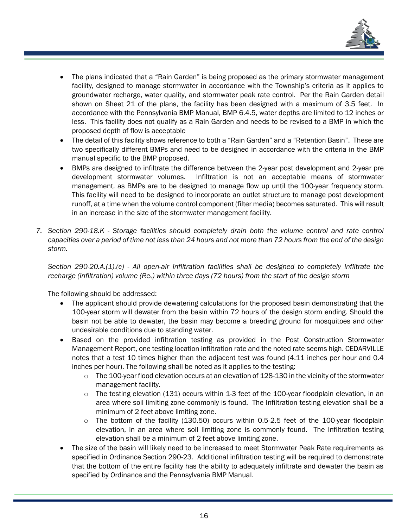

- The plans indicated that a "Rain Garden" is being proposed as the primary stormwater management facility, designed to manage stormwater in accordance with the Township's criteria as it applies to groundwater recharge, water quality, and stormwater peak rate control. Per the Rain Garden detail shown on Sheet 21 of the plans, the facility has been designed with a maximum of 3.5 feet. In accordance with the Pennsylvania BMP Manual, BMP 6.4.5, water depths are limited to 12 inches or less. This facility does not qualify as a Rain Garden and needs to be revised to a BMP in which the proposed depth of flow is acceptable
- The detail of this facility shows reference to both a "Rain Garden" and a "Retention Basin". These are two specifically different BMPs and need to be designed in accordance with the criteria in the BMP manual specific to the BMP proposed.
- BMPs are designed to infiltrate the difference between the 2-year post development and 2-year pre development stormwater volumes. Infiltration is not an acceptable means of stormwater management, as BMPs are to be designed to manage flow up until the 100-year frequency storm. This facility will need to be designed to incorporate an outlet structure to manage post development runoff, at a time when the volume control component (filter media) becomes saturated. This will result in an increase in the size of the stormwater management facility.
- *7. Section 290-18.K - Storage facilities should completely drain both the volume control and rate control capacities over a period of time not less than 24 hours and not more than 72 hours from the end of the design storm.*

*Section 290-20.A.(1).(c) - All open-air infiltration facilities shall be designed to completely infiltrate the recharge (infiltration) volume (Rev) within three days (72 hours) from the start of the design storm*

The following should be addressed:

- The applicant should provide dewatering calculations for the proposed basin demonstrating that the 100-year storm will dewater from the basin within 72 hours of the design storm ending. Should the basin not be able to dewater, the basin may become a breeding ground for mosquitoes and other undesirable conditions due to standing water.
- Based on the provided infiltration testing as provided in the Post Construction Stormwater Management Report, one testing location infiltration rate and the noted rate seems high. CEDARVILLE notes that a test 10 times higher than the adjacent test was found (4.11 inches per hour and 0.4 inches per hour). The following shall be noted as it applies to the testing:
	- $\circ$  The 100-year flood elevation occurs at an elevation of 128-130 in the vicinity of the stormwater management facility.
	- $\circ$  The testing elevation (131) occurs within 1-3 feet of the 100-year floodplain elevation, in an area where soil limiting zone commonly is found. The Infiltration testing elevation shall be a minimum of 2 feet above limiting zone.
	- $\circ$  The bottom of the facility (130.50) occurs within 0.5-2.5 feet of the 100-year floodplain elevation, in an area where soil limiting zone is commonly found. The Infiltration testing elevation shall be a minimum of 2 feet above limiting zone.
- The size of the basin will likely need to be increased to meet Stormwater Peak Rate requirements as specified in Ordinance Section 290-23. Additional infiltration testing will be required to demonstrate that the bottom of the entire facility has the ability to adequately infiltrate and dewater the basin as specified by Ordinance and the Pennsylvania BMP Manual.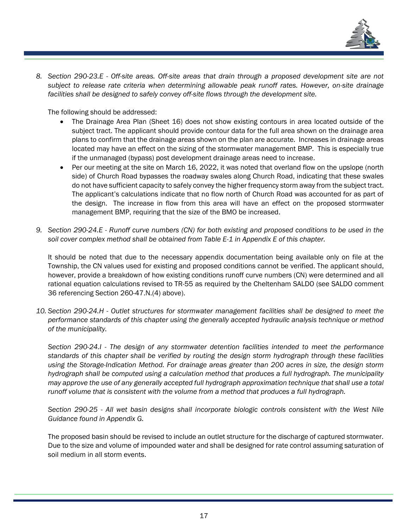

*8. Section 290-23.E - Off-site areas. Off-site areas that drain through a proposed development site are not subject to release rate criteria when determining allowable peak runoff rates. However, on-site drainage facilities shall be designed to safely convey off-site flows through the development site.*

The following should be addressed:

- The Drainage Area Plan (Sheet 16) does not show existing contours in area located outside of the subject tract. The applicant should provide contour data for the full area shown on the drainage area plans to confirm that the drainage areas shown on the plan are accurate. Increases in drainage areas located may have an effect on the sizing of the stormwater management BMP. This is especially true if the unmanaged (bypass) post development drainage areas need to increase.
- Per our meeting at the site on March 16, 2022, it was noted that overland flow on the upslope (north side) of Church Road bypasses the roadway swales along Church Road, indicating that these swales do not have sufficient capacity to safely convey the higher frequency storm away from the subject tract. The applicant's calculations indicate that no flow north of Church Road was accounted for as part of the design. The increase in flow from this area will have an effect on the proposed stormwater management BMP, requiring that the size of the BMO be increased.
- *9. Section 290-24.E - Runoff curve numbers (CN) for both existing and proposed conditions to be used in the soil cover complex method shall be obtained from Table E-1 in Appendix E of this chapter.*

It should be noted that due to the necessary appendix documentation being available only on file at the Township, the CN values used for existing and proposed conditions cannot be verified. The applicant should, however, provide a breakdown of how existing conditions runoff curve numbers (CN) were determined and all rational equation calculations revised to TR-55 as required by the Cheltenham SALDO (see SALDO comment 36 referencing Section 260-47.N.(4) above).

*10. Section 290-24.H - Outlet structures for stormwater management facilities shall be designed to meet the performance standards of this chapter using the generally accepted hydraulic analysis technique or method of the municipality.*

*Section 290-24.I - The design of any stormwater detention facilities intended to meet the performance standards of this chapter shall be verified by routing the design storm hydrograph through these facilities using the Storage-Indication Method. For drainage areas greater than 200 acres in size, the design storm hydrograph shall be computed using a calculation method that produces a full hydrograph. The municipality may approve the use of any generally accepted full hydrograph approximation technique that shall use a total runoff volume that is consistent with the volume from a method that produces a full hydrograph.*

*Section 290-25 - All wet basin designs shall incorporate biologic controls consistent with the West Nile Guidance found in Appendix G.*

The proposed basin should be revised to include an outlet structure for the discharge of captured stormwater. Due to the size and volume of impounded water and shall be designed for rate control assuming saturation of soil medium in all storm events.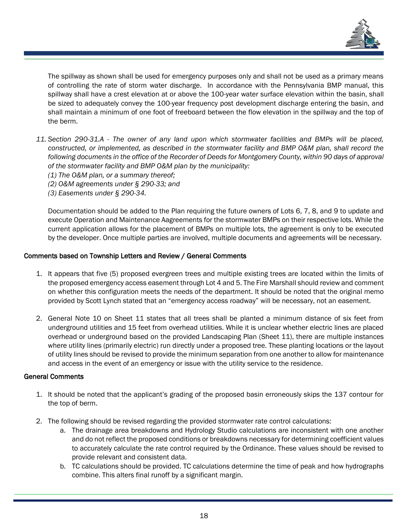

The spillway as shown shall be used for emergency purposes only and shall not be used as a primary means of controlling the rate of storm water discharge. In accordance with the Pennsylvania BMP manual, this spillway shall have a crest elevation at or above the 100-year water surface elevation within the basin, shall be sized to adequately convey the 100-year frequency post development discharge entering the basin, and shall maintain a minimum of one foot of freeboard between the flow elevation in the spillway and the top of the berm.

- *11. Section 290-31.A - The owner of any land upon which stormwater facilities and BMPs will be placed, constructed, or implemented, as described in the stormwater facility and BMP O&M plan, shall record the following documents in the office of the Recorder of Deeds for Montgomery County, within 90 days of approval of the stormwater facility and BMP O&M plan by the municipality:*
	- *(1) The O&M plan, or a summary thereof;*
	- *(2) O&M agreements under § 290-33; and*
	- *(3) Easements under § 290-34.*

Documentation should be added to the Plan requiring the future owners of Lots 6, 7, 8, and 9 to update and execute Operation and Maintenance Aagreements for the stormwater BMPs on their respective lots. While the current application allows for the placement of BMPs on multiple lots, the agreement is only to be executed by the developer. Once multiple parties are involved, multiple documents and agreements will be necessary.

#### Comments based on Township Letters and Review / General Comments

- 1. It appears that five (5) proposed evergreen trees and multiple existing trees are located within the limits of the proposed emergency access easement through Lot 4 and 5. The Fire Marshall should review and comment on whether this configuration meets the needs of the department. It should be noted that the original memo provided by Scott Lynch stated that an "emergency access roadway" will be necessary, not an easement.
- 2. General Note 10 on Sheet 11 states that all trees shall be planted a minimum distance of six feet from underground utilities and 15 feet from overhead utilities. While it is unclear whether electric lines are placed overhead or underground based on the provided Landscaping Plan (Sheet 11), there are multiple instances where utility lines (primarily electric) run directly under a proposed tree. These planting locations or the layout of utility lines should be revised to provide the minimum separation from one another to allow for maintenance and access in the event of an emergency or issue with the utility service to the residence.

#### General Comments

- 1. It should be noted that the applicant's grading of the proposed basin erroneously skips the 137 contour for the top of berm.
- 2. The following should be revised regarding the provided stormwater rate control calculations:
	- a. The drainage area breakdowns and Hydrology Studio calculations are inconsistent with one another and do not reflect the proposed conditions or breakdowns necessary for determining coefficient values to accurately calculate the rate control required by the Ordinance. These values should be revised to provide relevant and consistent data.
	- b. TC calculations should be provided. TC calculations determine the time of peak and how hydrographs combine. This alters final runoff by a significant margin.